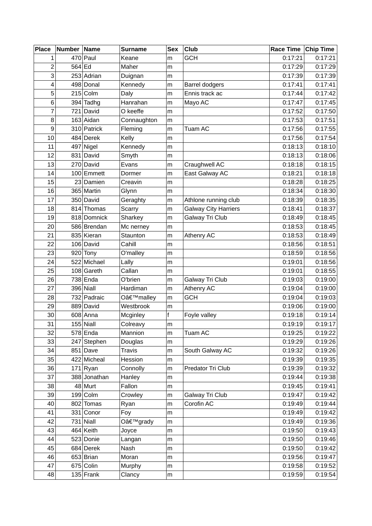| <b>Place</b> | Number Name |              | <b>Surname</b> | <b>Sex</b>   | Club                        | Race Time Chip Time |         |
|--------------|-------------|--------------|----------------|--------------|-----------------------------|---------------------|---------|
| 1            |             | $470$ Paul   | Keane          | m            | <b>GCH</b>                  | 0:17:21             | 0:17:21 |
| 2            | 564 Ed      |              | Maher          | m            |                             | 0:17:29             | 0:17:29 |
| 3            |             | 253 Adrian   | Duignan        | m            |                             | 0:17:39             | 0:17:39 |
| 4            |             | 498 Donal    | Kennedy        | m            | <b>Barrel dodgers</b>       | 0:17:41             | 0:17:41 |
| 5            |             | $215$ Colm   | Daly           | m            | Ennis track ac              | 0:17:44             | 0:17:42 |
| 6            |             | $394$ Tadhg  | Hanrahan       | m            | Mayo AC                     | 0:17:47             | 0:17:45 |
| 7            |             | 721 David    | O keeffe       | m            |                             | 0:17:52             | 0:17:50 |
| 8            |             | $163$ Aidan  | Connaughton    | m            |                             | 0:17:53             | 0:17:51 |
| 9            |             | 310 Patrick  | Fleming        | m            | Tuam AC                     | 0:17:56             | 0:17:55 |
| 10           |             | 484 Derek    | Kelly          | m            |                             | 0:17:56             | 0:17:54 |
| 11           |             | $497$ Nigel  | Kennedy        | m            |                             | 0:18:13             | 0:18:10 |
| 12           |             | 831 David    | Smyth          | m            |                             | 0:18:13             | 0:18:06 |
| 13           |             | 270 David    | Evans          | m            | Craughwell AC               | 0:18:18             | 0:18:15 |
| 14           |             | 100 Emmett   | Dormer         | ${\sf m}$    | East Galway AC              | 0:18:21             | 0:18:18 |
| 15           |             | 23 Damien    | Creavin        | m            |                             | 0:18:28             | 0:18:25 |
| 16           |             | 365 Martin   | Glynn          | m            |                             | 0:18:34             | 0:18:30 |
| 17           |             | 350 David    | Geraghty       | m            | Athlone running club        | 0:18:39             | 0:18:35 |
| 18           |             | 814 Thomas   | Scarry         | m            | <b>Galway City Harriers</b> | 0:18:41             | 0:18:37 |
| 19           |             | 818 Domnick  | Sharkey        | m            | Galway Tri Club             | 0:18:49             | 0:18:45 |
| 20           |             | 586 Brendan  | Mc nerney      | m            |                             | 0:18:53             | 0:18:45 |
| 21           |             | 835 Kieran   | Staunton       | m            | Athenry AC                  | 0:18:53             | 0:18:49 |
| 22           |             | 106 David    | Cahill         | m            |                             | 0:18:56             | 0:18:51 |
| 23           |             | $920$ Tony   | O'malley       | m            |                             | 0:18:59             | 0:18:56 |
| 24           |             | 522 Michael  | Lally          | m            |                             | 0:19:01             | 0:18:56 |
| 25           |             | 108 Gareth   | Callan         | m            |                             | 0:19:01             | 0:18:55 |
| 26           |             | 738 Enda     | O'brien        | m            | Galway Tri Club             | 0:19:03             | 0:19:00 |
| 27           |             | $396$ Niall  | Hardiman       | m            | Athenry AC                  | 0:19:04             | 0:19:00 |
| 28           |             | 732 Padraic  | O'malley       | m            | <b>GCH</b>                  | 0:19:04             | 0:19:03 |
| 29           |             | 889 David    | Westbrook      | m            |                             | 0:19:06             | 0:19:00 |
| 30           |             | $608$ Anna   | Mcginley       | $\mathsf{f}$ | Foyle valley                | 0:19:18             | 0:19:14 |
| 31           |             | $155$ Niall  | Colreavy       | m            |                             | 0:19:19             | 0:19:17 |
| 32           |             | $578$ Enda   | Mannion        | m            | Tuam AC                     | 0:19:25             | 0:19:22 |
| 33           |             | 247 Stephen  | Douglas        | m            |                             | 0:19:29             | 0:19:26 |
| 34           |             | $851$ Dave   | <b>Travis</b>  | ${\sf m}$    | South Galway AC             | 0:19:32             | 0:19:26 |
| 35           |             | 422 Micheal  | Hession        | m            |                             | 0:19:39             | 0:19:35 |
| 36           |             | $171$ Ryan   | Connolly       | m            | Predator Tri Club           | 0:19:39             | 0:19:32 |
| 37           |             | 388 Jonathan | Hanley         | m            |                             | 0:19:44             | 0:19:38 |
| 38           |             | 48 Murt      | Fallon         | ${\sf m}$    |                             | 0:19:45             | 0:19:41 |
| 39           |             | $199$ Colm   | Crowley        | ${\sf m}$    | Galway Tri Club             | 0:19:47             | 0:19:42 |
| 40           |             | 802 Tomas    | Ryan           | m            | Corofin AC                  | 0:19:49             | 0:19:44 |
| 41           |             | 331 Conor    | Foy            | m            |                             | 0:19:49             | 0:19:42 |
| 42           |             | $731$ Niall  | O'grady        | ${\sf m}$    |                             | 0:19:49             | 0:19:36 |
| 43           |             | $464$ Keith  | Joyce          | ${\sf m}$    |                             | 0:19:50             | 0:19:43 |
| 44           |             | 523 Donie    | Langan         | m            |                             | 0:19:50             | 0:19:46 |
| 45           |             | 684 Derek    | Nash           | ${\sf m}$    |                             | 0:19:50             | 0:19:42 |
| 46           |             | $653$ Brian  | Moran          | ${\sf m}$    |                             | 0:19:56             | 0:19:47 |
| 47           |             | $675$ Colin  | Murphy         | m            |                             | 0:19:58             | 0:19:52 |
| 48           |             | $135$ Frank  | Clancy         | ${\sf m}$    |                             | 0:19:59             | 0:19:54 |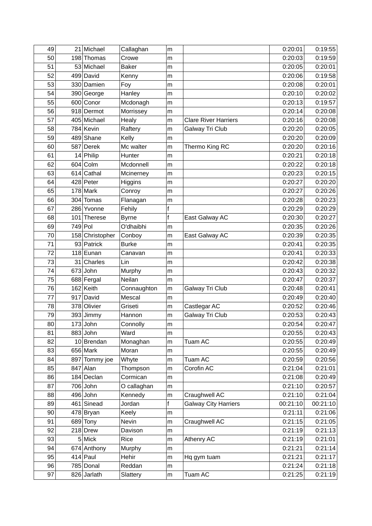| 49 |         | 21 Michael      | Callaghan    | m            |                             | 0:20:01  | 0:19:55  |
|----|---------|-----------------|--------------|--------------|-----------------------------|----------|----------|
| 50 |         | 198 Thomas      | Crowe        | m            |                             | 0:20:03  | 0:19:59  |
| 51 |         | 53 Michael      | <b>Baker</b> | m            |                             | 0:20:05  | 0:20:01  |
| 52 |         | 499 David       | Kenny        | m            |                             | 0:20:06  | 0:19:58  |
| 53 |         | 330 Damien      | Foy          | m            |                             | 0:20:08  | 0:20:01  |
| 54 |         | 390 George      | Hanley       | m            |                             | 0:20:10  | 0:20:02  |
| 55 |         | 600 Conor       | Mcdonagh     | m            |                             | 0:20:13  | 0:19:57  |
| 56 |         | 918 Dermot      | Morrissey    | m            |                             | 0:20:14  | 0:20:08  |
| 57 |         | 405 Michael     | Healy        | m            | <b>Clare River Harriers</b> | 0:20:16  | 0:20:08  |
| 58 |         | 784 Kevin       | Raftery      | m            | Galway Tri Club             | 0:20:20  | 0:20:05  |
| 59 |         | 489 Shane       | Kelly        | m            |                             | 0:20:20  | 0:20:09  |
| 60 |         | 587 Derek       | Mc walter    | m            | Thermo King RC              | 0:20:20  | 0:20:16  |
| 61 |         | $14$ Philip     | Hunter       | m            |                             | 0:20:21  | 0:20:18  |
| 62 |         | $604$ Colm      | Mcdonnell    | m            |                             | 0:20:22  | 0:20:18  |
| 63 |         | 614 Cathal      | Mcinerney    | m            |                             | 0:20:23  | 0:20:15  |
| 64 |         | 428 Peter       | Higgins      | m            |                             | 0:20:27  | 0:20:20  |
| 65 |         | $178$ Mark      | Conroy       | m            |                             | 0:20:27  | 0:20:26  |
| 66 |         | 304 Tomas       | Flanagan     | m            |                             | 0:20:28  | 0:20:23  |
| 67 |         | 286 Yvonne      | Fehily       | f            |                             | 0:20:29  | 0:20:29  |
| 68 | 101     | Therese         | <b>Byrne</b> | $\mathsf{f}$ | East Galway AC              | 0:20:30  | 0:20:27  |
| 69 | 749 Pol |                 | O'dhaibhi    | m            |                             | 0:20:35  | 0:20:26  |
| 70 |         | 158 Christopher | Conboy       | m            | East Galway AC              | 0:20:39  | 0:20:35  |
| 71 |         | 93 Patrick      | <b>Burke</b> | m            |                             | 0:20:41  | 0:20:35  |
| 72 |         | 118 Eunan       | Canavan      | m            |                             | 0:20:41  | 0:20:33  |
| 73 |         | 31 Charles      | Lin          | m            |                             | 0:20:42  | 0:20:38  |
| 74 |         | $673$ John      | Murphy       | m            |                             | 0:20:43  | 0:20:32  |
| 75 |         | 688 Fergal      | Neilan       | m            |                             | 0:20:47  | 0:20:37  |
| 76 |         | $162$ Keith     | Connaughton  | m            | Galway Tri Club             | 0:20:48  | 0:20:41  |
| 77 |         | $917$ David     | Mescal       | m            |                             | 0:20:49  | 0:20:40  |
| 78 |         | 378 Olivier     | Griseti      | m            | Castlegar AC                | 0:20:52  | 0:20:46  |
| 79 |         | 393 Jimmy       | Hannon       | m            | Galway Tri Club             | 0:20:53  | 0:20:43  |
| 80 |         | $173$ John      | Connolly     | m            |                             | 0:20:54  | 0:20:47  |
| 81 |         | $883$ John      | Ward         | m            |                             | 0:20:55  | 0:20:43  |
| 82 |         | 10 Brendan      | Monaghan     | ${\sf m}$    | Tuam AC                     | 0:20:55  | 0:20:49  |
| 83 |         | $656$ Mark      | Moran        | ${\sf m}$    |                             | 0:20:55  | 0:20:49  |
| 84 |         | 897 Tommy joe   | Whyte        | ${\sf m}$    | Tuam AC                     | 0:20:59  | 0:20:56  |
| 85 |         | $847$ Alan      | Thompson     | m            | Corofin AC                  | 0:21:04  | 0:21:01  |
| 86 |         | 184 Declan      | Cormican     | m            |                             | 0:21:08  | 0:20:49  |
| 87 |         | 706 John        | O callaghan  | ${\sf m}$    |                             | 0:21:10  | 0:20:57  |
| 88 |         | $496$ John      | Kennedy      | ${\sf m}$    | Craughwell AC               | 0:21:10  | 0:21:04  |
| 89 |         | 461 Sinead      | Jordan       | $\mathsf f$  | <b>Galway City Harriers</b> | 00:21:10 | 00:21:10 |
| 90 |         | 478 Bryan       | Keely        | m            |                             | 0:21:11  | 0:21:06  |
| 91 |         | $689$ Tony      | Nevin        | ${\sf m}$    | Craughwell AC               | 0:21:15  | 0:21:05  |
| 92 |         | 218 Drew        | Davison      | m            |                             | 0:21:19  | 0:21:13  |
| 93 |         | $5$ Mick        | Rice         | m            | Athenry AC                  | 0:21:19  | 0:21:01  |
| 94 |         | 674 Anthony     | Murphy       | ${\sf m}$    |                             | 0:21:21  | 0:21:14  |
| 95 |         | $414$ Paul      | Hehir        | ${\sf m}$    | Hq gym tuam                 | 0:21:21  | 0:21:17  |
| 96 |         | 785 Donal       | Reddan       | m            |                             | 0:21:24  | 0:21:18  |
| 97 |         | 826 Jarlath     | Slattery     | ${\sf m}$    | Tuam AC                     | 0:21:25  | 0:21:19  |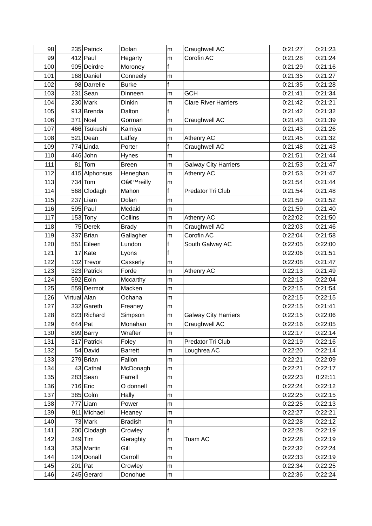| 98  |              | 235 Patrick   | Dolan          | m | Craughwell AC               | 0:21:27 | 0:21:23 |
|-----|--------------|---------------|----------------|---|-----------------------------|---------|---------|
| 99  |              | $412$ Paul    | Hegarty        | m | Corofin AC                  | 0:21:28 | 0:21:24 |
| 100 |              | 905 Deirdre   | Moroney        | f |                             | 0:21:29 | 0:21:16 |
| 101 |              | 168 Daniel    | Conneely       | m |                             | 0:21:35 | 0:21:27 |
| 102 |              | 98 Darrelle   | <b>Burke</b>   | f |                             | 0:21:35 | 0:21:28 |
| 103 |              | $231$ Sean    | Dinneen        | m | <b>GCH</b>                  | 0:21:41 | 0:21:34 |
| 104 |              | $230$ Mark    | Dinkin         | m | <b>Clare River Harriers</b> | 0:21:42 | 0:21:21 |
| 105 |              | 913 Brenda    | Dalton         | f |                             | 0:21:42 | 0:21:32 |
| 106 |              | 371 Noel      | Gorman         | m | Craughwell AC               | 0:21:43 | 0:21:39 |
| 107 |              | 466 Tsukushi  | Kamiya         | m |                             | 0:21:43 | 0:21:26 |
| 108 |              | $521$ Dean    | Laffey         | m | Athenry AC                  | 0:21:45 | 0:21:32 |
| 109 |              | $774$ Linda   | Porter         | f | Craughwell AC               | 0:21:48 | 0:21:43 |
| 110 |              | $446$ John    | Hynes          | m |                             | 0:21:51 | 0:21:44 |
| 111 |              | $81$ Tom      | <b>Breen</b>   | m | <b>Galway City Harriers</b> | 0:21:53 | 0:21:47 |
| 112 |              | 415 Alphonsus | Heneghan       | m | Athenry AC                  | 0:21:53 | 0:21:47 |
| 113 |              | $734$ Tom     | O'reilly       | m |                             | 0:21:54 | 0:21:44 |
| 114 |              | 568 Clodagh   | Mahon          | f | Predator Tri Club           | 0:21:54 | 0:21:48 |
| 115 |              | $237$ Liam    | Dolan          | m |                             | 0:21:59 | 0:21:52 |
| 116 |              | $595$ Paul    | Mcdaid         | m |                             | 0:21:59 | 0:21:40 |
| 117 |              | $153$ Tony    | Collins        | m | Athenry AC                  | 0:22:02 | 0:21:50 |
| 118 |              | 75 Derek      | <b>Brady</b>   | m | Craughwell AC               | 0:22:03 | 0:21:46 |
| 119 |              | 337 Brian     | Gallagher      | m | Corofin AC                  | 0:22:04 | 0:21:58 |
| 120 |              | 551 Eileen    | Lundon         | f | South Galway AC             | 0:22:05 | 0:22:00 |
| 121 |              | $17$ Kate     | Lyons          | f |                             | 0:22:06 | 0:21:51 |
| 122 |              | 132 Trevor    | Casserly       | m |                             | 0:22:08 | 0:21:47 |
| 123 |              | 323 Patrick   | Forde          | m | Athenry AC                  | 0:22:13 | 0:21:49 |
| 124 |              | $592$ Eoin    | Mccarthy       | m |                             | 0:22:13 | 0:22:04 |
| 125 |              | 559 Dermot    | Macken         | m |                             | 0:22:15 | 0:21:54 |
| 126 | Virtual Alan |               | Ochana         | m |                             | 0:22:15 | 0:22:15 |
| 127 |              | 332 Gareth    | Freaney        | m |                             | 0:22:15 | 0:21:41 |
| 128 |              | 823 Richard   | Simpson        | m | <b>Galway City Harriers</b> | 0:22:15 | 0:22:06 |
| 129 |              | $644$ Pat     | Monahan        | m | Craughwell AC               | 0:22:16 | 0:22:05 |
| 130 |              | 899 Barry     | Wrafter        | m |                             | 0:22:17 | 0:22:14 |
| 131 |              | 317 Patrick   | Foley          | m | Predator Tri Club           | 0:22:19 | 0:22:16 |
| 132 |              | 54 David      | <b>Barrett</b> | m | Loughrea AC                 | 0:22:20 | 0:22:14 |
| 133 |              | $279$ Brian   | Fallon         | m |                             | 0:22:21 | 0:22:09 |
| 134 |              | 43 Cathal     | McDonagh       | m |                             | 0:22:21 | 0:22:17 |
| 135 |              | $283$ Sean    | Farrell        | m |                             | 0:22:23 | 0:22:11 |
| 136 |              | 716 Eric      | O donnell      | m |                             | 0:22:24 | 0:22:12 |
| 137 |              | 385 Colm      | Hally          | m |                             | 0:22:25 | 0:22:15 |
| 138 | 777          | Liam          | Power          | m |                             | 0:22:25 | 0:22:13 |
| 139 |              | 911 Michael   | Heaney         | m |                             | 0:22:27 | 0:22:21 |
| 140 |              | 73 Mark       | <b>Bradish</b> | m |                             | 0:22:28 | 0:22:12 |
| 141 |              | 200 Clodagh   | Crowley        | f |                             | 0:22:28 | 0:22:19 |
| 142 |              | $349$ Tim     | Geraghty       | m | Tuam AC                     | 0:22:28 | 0:22:19 |
| 143 |              | 353 Martin    | Gill           | m |                             | 0:22:32 | 0:22:24 |
| 144 |              | 124 Donall    | Carroll        | m |                             | 0:22:33 | 0:22:19 |
| 145 |              | $201$ Pat     | Crowley        | m |                             | 0:22:34 | 0:22:25 |
| 146 |              | 245 Gerard    | Donohue        | m |                             | 0:22:36 | 0:22:24 |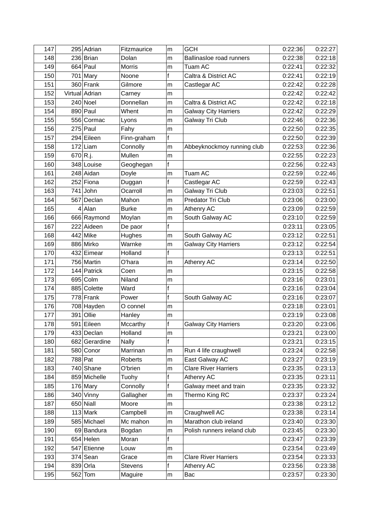| 147 |             | 295 Adrian     | Fitzmaurice  | m           | <b>GCH</b>                  | 0:22:36 | 0:22:27 |
|-----|-------------|----------------|--------------|-------------|-----------------------------|---------|---------|
| 148 |             | 236 Brian      | Dolan        | m           | Ballinasloe road runners    | 0:22:38 | 0:22:18 |
| 149 |             | $664$ Paul     | Morris       | m           | Tuam AC                     | 0:22:41 | 0:22:32 |
| 150 |             | $701$ Mary     | Noone        | f           | Caltra & District AC        | 0:22:41 | 0:22:19 |
| 151 |             | 360 Frank      | Gilmore      | m           | Castlegar AC                | 0:22:42 | 0:22:28 |
| 152 |             | Virtual Adrian | Carney       | m           |                             | 0:22:42 | 0:22:42 |
| 153 |             | 240 Noel       | Donnellan    | m           | Caltra & District AC        | 0:22:42 | 0:22:18 |
| 154 |             | $890$ Paul     | Whent        | m           | <b>Galway City Harriers</b> | 0:22:42 | 0:22:29 |
| 155 |             | 556 Cormac     | Lyons        | m           | Galway Tri Club             | 0:22:46 | 0:22:36 |
| 156 |             | $275$ Paul     | Fahy         | m           |                             | 0:22:50 | 0:22:35 |
| 157 |             | 294 Eileen     | Finn-graham  | f           |                             | 0:22:50 | 0:22:39 |
| 158 |             | $172$ Liam     | Connolly     | m           | Abbeyknockmoy running club  | 0:22:53 | 0:22:36 |
| 159 | $670 R$ .j. |                | Mullen       | m           |                             | 0:22:55 | 0:22:23 |
| 160 |             | 348 Louise     | Geoghegan    | f           |                             | 0:22:56 | 0:22:43 |
| 161 |             | 248 Aidan      | Doyle        | m           | Tuam AC                     | 0:22:59 | 0:22:46 |
| 162 |             | 252 Fiona      | Duggan       | f           | Castlegar AC                | 0:22:59 | 0:22:43 |
| 163 |             | $741$ John     | Ocarroll     | m           | Galway Tri Club             | 0:23:03 | 0:22:51 |
| 164 |             | 567 Declan     | Mahon        | m           | Predator Tri Club           | 0:23:06 | 0:23:00 |
| 165 |             | $4$ Alan       | <b>Burke</b> | m           | Athenry AC                  | 0:23:09 | 0:22:59 |
| 166 |             | 666 Raymond    | Moylan       | m           | South Galway AC             | 0:23:10 | 0:22:59 |
| 167 |             | 222 Aideen     | De paor      | f           |                             | 0:23:11 | 0:23:05 |
| 168 |             | 442 Mike       | Hughes       | m           | South Galway AC             | 0:23:12 | 0:22:51 |
| 169 |             | 886 Mirko      | Warnke       | m           | <b>Galway City Harriers</b> | 0:23:12 | 0:22:54 |
| 170 |             | 432 Eimear     | Holland      | f           |                             | 0:23:13 | 0:22:51 |
| 171 |             | 756 Martin     | O'hara       | m           | Athenry AC                  | 0:23:14 | 0:22:50 |
| 172 |             | 144 Patrick    | Coen         | m           |                             | 0:23:15 | 0:22:58 |
| 173 |             | $695$ Colm     | Niland       | m           |                             | 0:23:16 | 0:23:01 |
| 174 |             | 885 Colette    | Ward         | f           |                             | 0:23:16 | 0:23:04 |
| 175 |             | 778 Frank      | Power        | f           | South Galway AC             | 0:23:16 | 0:23:07 |
| 176 |             | 708 Hayden     | O connel     | m           |                             | 0:23:18 | 0:23:01 |
| 177 |             | 391 Ollie      | Hanley       | m           |                             | 0:23:19 | 0:23:08 |
| 178 |             | 591 Eileen     | Mccarthy     | $\mathsf f$ | <b>Galway City Harriers</b> | 0:23:20 | 0:23:06 |
| 179 |             | 433 Declan     | Holland      | m           |                             | 0:23:21 | 0:23:00 |
| 180 |             | 682 Gerardine  | <b>Nally</b> | f           |                             | 0:23:21 | 0:23:15 |
| 181 |             | 580 Conor      | Marrinan     | m           | Run 4 life craughwell       | 0:23:24 | 0:22:58 |
| 182 |             | 788 Pat        | Roberts      | m           | East Galway AC              | 0:23:27 | 0:23:19 |
| 183 |             | $740$ Shane    | O'brien      | m           | <b>Clare River Harriers</b> | 0:23:35 | 0:23:13 |
| 184 |             | 859 Michelle   | Tuohy        | f           | Athenry AC                  | 0:23:35 | 0:23:11 |
| 185 |             | $176$ Mary     | Connolly     | f           | Galway meet and train       | 0:23:35 | 0:23:32 |
| 186 |             | $340$ Vinny    | Gallagher    | m           | Thermo King RC              | 0:23:37 | 0:23:24 |
| 187 |             | $650$ Niall    | Moore        | m           |                             | 0:23:38 | 0:23:12 |
| 188 |             | $113$ Mark     | Campbell     | m           | Craughwell AC               | 0:23:38 | 0:23:14 |
| 189 |             | 585 Michael    | Mc mahon     | m           | Marathon club ireland       | 0:23:40 | 0:23:30 |
| 190 |             | 69 Bandura     | Bogdan       | m           | Polish runners ireland club | 0:23:45 | 0:23:30 |
| 191 |             | $654$ Helen    | Moran        | f           |                             | 0:23:47 | 0:23:39 |
| 192 |             | 547 Etienne    | Louw         | m           |                             | 0:23:54 | 0:23:49 |
| 193 |             | $374$ Sean     | Grace        | m           | <b>Clare River Harriers</b> | 0:23:54 | 0:23:33 |
| 194 |             | $839$ Orla     | Stevens      | f           | Athenry AC                  | 0:23:56 | 0:23:38 |
| 195 |             | $562$ Tom      | Maguire      | m           | Bac                         | 0:23:57 | 0:23:30 |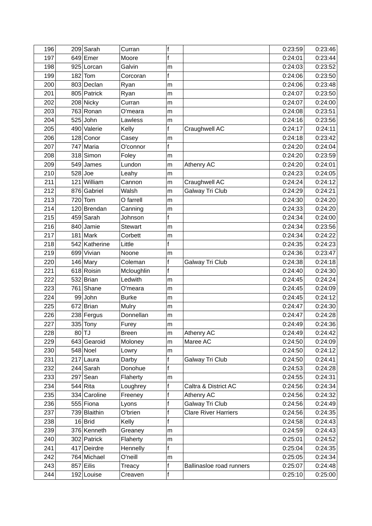| 196 |     | $209$ Sarah   | Curran         | f |                             | 0:23:59 | 0:23:46 |
|-----|-----|---------------|----------------|---|-----------------------------|---------|---------|
| 197 |     | $649$ Emer    | Moore          | f |                             | 0:24:01 | 0:23:44 |
| 198 |     | 925 Lorcan    | Galvin         | m |                             | 0:24:03 | 0:23:52 |
| 199 |     | $182$ Tom     | Corcoran       | f |                             | 0:24:06 | 0:23:50 |
| 200 |     | 803 Declan    | Ryan           | m |                             | 0:24:06 | 0:23:48 |
| 201 |     | 805 Patrick   | Ryan           | m |                             | 0:24:07 | 0:23:50 |
| 202 |     | 208 Nicky     | Curran         | m |                             | 0:24:07 | 0:24:00 |
| 203 |     | 763 Ronan     | O'meara        | m |                             | 0:24:08 | 0:23:51 |
| 204 |     | $525$ John    | Lawless        | m |                             | 0:24:16 | 0:23:56 |
| 205 |     | 490 Valerie   | Kelly          | f | Craughwell AC               | 0:24:17 | 0:24:11 |
| 206 |     | 128 Conor     | Casey          | m |                             | 0:24:18 | 0:23:42 |
| 207 |     | 747 Maria     | O'connor       | f |                             | 0:24:20 | 0:24:04 |
| 208 |     | 318 Simon     | Foley          | m |                             | 0:24:20 | 0:23:59 |
| 209 |     | 549 James     | Lundon         | m | Athenry AC                  | 0:24:20 | 0:24:01 |
| 210 |     | $528$ Joe     | Leahy          | m |                             | 0:24:23 | 0:24:05 |
| 211 | 121 | William       | Cannon         | m | Craughwell AC               | 0:24:24 | 0:24:12 |
| 212 |     | 876 Gabriel   | Walsh          | m | Galway Tri Club             | 0:24:29 | 0:24:21 |
| 213 |     | $720$ Tom     | O farrell      | m |                             | 0:24:30 | 0:24:20 |
| 214 |     | 120 Brendan   | Canning        | m |                             | 0:24:33 | 0:24:20 |
| 215 |     | $459$ Sarah   | Johnson        | f |                             | 0:24:34 | 0:24:00 |
| 216 |     | 840 Jamie     | <b>Stewart</b> | m |                             | 0:24:34 | 0:23:56 |
| 217 |     | $181$ Mark    | Corbett        | m |                             | 0:24:34 | 0:24:22 |
| 218 |     | 542 Katherine | Little         | f |                             | 0:24:35 | 0:24:23 |
| 219 |     | 699 Vivian    | Noone          | m |                             | 0:24:36 | 0:23:47 |
| 220 |     | 146 Mary      | Coleman        | f | Galway Tri Club             | 0:24:38 | 0:24:18 |
| 221 |     | 618 Roisin    | Mcloughlin     | f |                             | 0:24:40 | 0:24:30 |
| 222 |     | 532 Brian     | Ledwith        | m |                             | 0:24:45 | 0:24:24 |
| 223 |     | $761$ Shane   | O'meara        | m |                             | 0:24:45 | 0:24:09 |
| 224 |     | 99 John       | <b>Burke</b>   | m |                             | 0:24:45 | 0:24:12 |
| 225 |     | $672$ Brian   | Mulry          | m |                             | 0:24:47 | 0:24:30 |
| 226 |     | 238 Fergus    | Donnellan      | m |                             | 0:24:47 | 0:24:28 |
| 227 |     | $335$ Tony    | Furey          | m |                             | 0:24:49 | 0:24:36 |
| 228 |     | $80$ TJ       | <b>Breen</b>   | m | Athenry AC                  | 0:24:49 | 0:24:42 |
| 229 |     | 643 Gearoid   | Moloney        | m | Maree AC                    | 0:24:50 | 0:24:09 |
| 230 |     | $548$ Noel    | Lowry          | m |                             | 0:24:50 | 0:24:12 |
| 231 |     | $217$ Laura   | Darby          | f | Galway Tri Club             | 0:24:50 | 0:24:41 |
| 232 |     | $244$ Sarah   | Donohue        | f |                             | 0:24:53 | 0:24:28 |
| 233 |     | $297$ Sean    | Flaherty       | m |                             | 0:24:55 | 0:24:31 |
| 234 |     | $544$ Rita    | Loughrey       | f | Caltra & District AC        | 0:24:56 | 0:24:34 |
| 235 |     | 334 Caroline  | Freeney        | f | Athenry AC                  | 0:24:56 | 0:24:32 |
| 236 |     | 555 Fiona     | Lyons          | f | Galway Tri Club             | 0:24:56 | 0:24:49 |
| 237 |     | 739 Blaithin  | O'brien        | f | <b>Clare River Harriers</b> | 0:24:56 | 0:24:35 |
| 238 |     | $16$ Brid     | Kelly          | f |                             | 0:24:58 | 0:24:43 |
| 239 |     | 376 Kenneth   | Greaney        | m |                             | 0:24:59 | 0:24:43 |
| 240 |     | 302 Patrick   | Flaherty       | m |                             | 0:25:01 | 0:24:52 |
| 241 |     | 417 Deirdre   | Hennelly       | f |                             | 0:25:04 | 0:24:35 |
| 242 |     | 764 Michael   | O'neill        | m |                             | 0:25:05 | 0:24:34 |
| 243 |     | $857$ Eilis   | Treacy         | f | Ballinasloe road runners    | 0:25:07 | 0:24:48 |
| 244 |     | 192 Louise    | Creaven        | f |                             | 0:25:10 | 0:25:00 |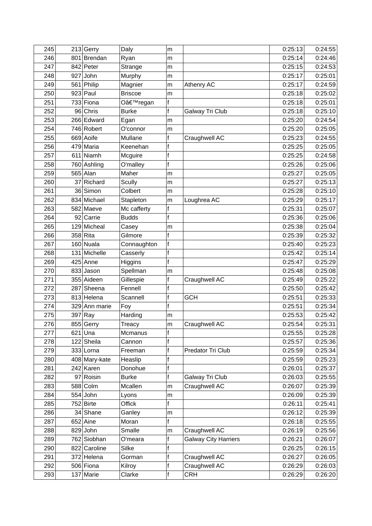| 245 |     | 213 Gerry     | Daly           | m            |                             | 0:25:13 | 0:24:55 |
|-----|-----|---------------|----------------|--------------|-----------------------------|---------|---------|
| 246 |     | 801 Brendan   | Ryan           | m            |                             | 0:25:14 | 0:24:46 |
| 247 |     | 842 Peter     | Strange        | m            |                             | 0:25:15 | 0:24:53 |
| 248 |     | $927$ John    | Murphy         | m            |                             | 0:25:17 | 0:25:01 |
| 249 |     | 561 Philip    | Magnier        | m            | Athenry AC                  | 0:25:17 | 0:24:59 |
| 250 |     | $923$ Paul    | <b>Briscoe</b> | m            |                             | 0:25:18 | 0:25:02 |
| 251 |     | $733$ Fiona   | O'regan        | f            |                             | 0:25:18 | 0:25:01 |
| 252 |     | 96 Chris      | <b>Burke</b>   | f            | Galway Tri Club             | 0:25:18 | 0:25:10 |
| 253 |     | 266 Edward    | Egan           | m            |                             | 0:25:20 | 0:24:54 |
| 254 |     | 746 Robert    | O'connor       | m            |                             | 0:25:20 | 0:25:05 |
| 255 |     | 669 Aoife     | Mullane        | f            | Craughwell AC               | 0:25:23 | 0:24:55 |
| 256 |     | 479 Maria     | Keenehan       | f            |                             | 0:25:25 | 0:25:05 |
| 257 |     | $611$ Niamh   | Mcguire        | f            |                             | 0:25:25 | 0:24:58 |
| 258 |     | 760 Ashling   | O'malley       | f            |                             | 0:25:26 | 0:25:06 |
| 259 |     | $565$ Alan    | Maher          | m            |                             | 0:25:27 | 0:25:05 |
| 260 | 37  | Richard       | Scully         | m            |                             | 0:25:27 | 0:25:13 |
| 261 |     | 36 Simon      | Colbert        | m            |                             | 0:25:28 | 0:25:10 |
| 262 |     | 834 Michael   | Stapleton      | m            | Loughrea AC                 | 0:25:29 | 0:25:17 |
| 263 |     | 582 Maeve     | Mc cafferty    | f            |                             | 0:25:31 | 0:25:07 |
| 264 |     | 92 Carrie     | <b>Budds</b>   | $\mathsf{f}$ |                             | 0:25:36 | 0:25:06 |
| 265 |     | 129 Micheal   | Casey          | m            |                             | 0:25:38 | 0:25:04 |
| 266 |     | $358$ Rita    | Gilmore        | f            |                             | 0:25:39 | 0:25:32 |
| 267 |     | $160$ Nuala   | Connaughton    | f            |                             | 0:25:40 | 0:25:23 |
| 268 |     | 131 Michelle  | Casserly       | f            |                             | 0:25:42 | 0:25:14 |
| 269 |     | $425$ Anne    | Higgins        | f            |                             | 0:25:47 | 0:25:29 |
| 270 |     | 833 Jason     | Spellman       | m            |                             | 0:25:48 | 0:25:08 |
| 271 |     | 355 Aideen    | Gillespie      | f            | Craughwell AC               | 0:25:49 | 0:25:22 |
| 272 | 287 | Sheena        | Fennell        | f            |                             | 0:25:50 | 0:25:42 |
| 273 |     | 813 Helena    | Scannell       | f            | <b>GCH</b>                  | 0:25:51 | 0:25:33 |
| 274 |     | 329 Ann marie | Foy            | f            |                             | 0:25:51 | 0:25:34 |
| 275 |     | $397$ Ray     | Harding        | m            |                             | 0:25:53 | 0:25:42 |
| 276 |     | 855 Gerry     | Treacy         | m            | Craughwell AC               | 0:25:54 | 0:25:31 |
| 277 |     | $621$ Una     | Mcmanus        | f            |                             | 0:25:55 | 0:25:28 |
| 278 |     | 122 Sheila    | Cannon         | f            |                             | 0:25:57 | 0:25:36 |
| 279 |     | $333$ Lorna   | Freeman        | f            | Predator Tri Club           | 0:25:59 | 0:25:34 |
| 280 |     | 408 Mary-kate | Heaslip        | f            |                             | 0:25:59 | 0:25:23 |
| 281 |     | $242$ Karen   | Donohue        | f            |                             | 0:26:01 | 0:25:37 |
| 282 |     | 97 Roisin     | <b>Burke</b>   | f            | Galway Tri Club             | 0:26:03 | 0:25:55 |
| 283 |     | 588 Colm      | Mcallen        | m            | Craughwell AC               | 0:26:07 | 0:25:39 |
| 284 |     | $554$ John    | Lyons          | m            |                             | 0:26:09 | 0:25:39 |
| 285 |     | $752$ Birte   | Offick         | f            |                             | 0:26:11 | 0:25:41 |
| 286 |     | 34 Shane      | Ganley         | m            |                             | 0:26:12 | 0:25:39 |
| 287 |     | $652$ Aine    | Moran          | f            |                             | 0:26:18 | 0:25:55 |
| 288 |     | $829$ John    | Smalle         | m            | Craughwell AC               | 0:26:19 | 0:25:56 |
| 289 |     | 762 Siobhan   | O'meara        | f            | <b>Galway City Harriers</b> | 0:26:21 | 0:26:07 |
| 290 |     | 822 Caroline  | Silke          | f            |                             | 0:26:25 | 0:26:15 |
| 291 |     | 372 Helena    | Gorman         | f            | Craughwell AC               | 0:26:27 | 0:26:05 |
| 292 |     | 506 Fiona     | Kilroy         | f            | Craughwell AC               | 0:26:29 | 0:26:03 |
| 293 |     | $137$ Marie   | Clarke         | f            | <b>CRH</b>                  | 0:26:29 | 0:26:20 |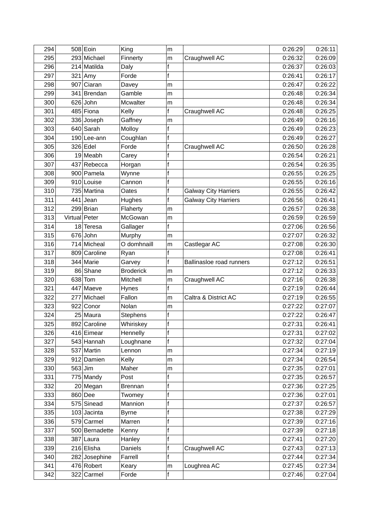| 294 |               | $508$ Eoin     | King             | m            |                                 | 0:26:29 | 0:26:11 |
|-----|---------------|----------------|------------------|--------------|---------------------------------|---------|---------|
| 295 |               | 293 Michael    | Finnerty         | m            | Craughwell AC                   | 0:26:32 | 0:26:09 |
| 296 |               | 214 Matilda    | Daly             | $\mathsf f$  |                                 | 0:26:37 | 0:26:03 |
| 297 |               | $321$ Amy      | Forde            | $\mathsf{f}$ |                                 | 0:26:41 | 0:26:17 |
| 298 | 907           | Ciaran         | Davey            | m            |                                 | 0:26:47 | 0:26:22 |
| 299 |               | 341 Brendan    | Gamble           | m            |                                 | 0:26:48 | 0:26:34 |
| 300 |               | $626$ John     | Mcwalter         | m            |                                 | 0:26:48 | 0:26:34 |
| 301 |               | 485 Fiona      | Kelly            | $\mathsf f$  | Craughwell AC                   | 0:26:48 | 0:26:25 |
| 302 |               | 336 Joseph     | Gaffney          | m            |                                 | 0:26:49 | 0:26:16 |
| 303 |               | $640$ Sarah    | Molloy           | f            |                                 | 0:26:49 | 0:26:23 |
| 304 |               | 190 Lee-ann    | Coughlan         | $\mathsf f$  |                                 | 0:26:49 | 0:26:27 |
| 305 |               | $326$ Edel     | Forde            | $\mathsf{f}$ | Craughwell AC                   | 0:26:50 | 0:26:28 |
| 306 |               | 19 Meabh       | Carey            | f            |                                 | 0:26:54 | 0:26:21 |
| 307 |               | 437 Rebecca    | Horgan           | f            |                                 | 0:26:54 | 0:26:35 |
| 308 |               | 900 Pamela     | Wynne            | f            |                                 | 0:26:55 | 0:26:25 |
| 309 |               | 910 Louise     | Cannon           | f            |                                 | 0:26:55 | 0:26:16 |
| 310 |               | 735 Martina    | Oates            | $\mathsf f$  | <b>Galway City Harriers</b>     | 0:26:55 | 0:26:42 |
| 311 |               | $441$ Jean     | Hughes           | f            | <b>Galway City Harriers</b>     | 0:26:56 | 0:26:41 |
| 312 |               | 299 Brian      | Flaherty         | m            |                                 | 0:26:57 | 0:26:38 |
| 313 | Virtual Peter |                | McGowan          | m            |                                 | 0:26:59 | 0:26:59 |
| 314 |               | 18 Teresa      | Gallager         | f            |                                 | 0:27:06 | 0:26:56 |
| 315 |               | 676 John       | Murphy           | m            |                                 | 0:27:07 | 0:26:32 |
| 316 |               | 714 Micheal    | O domhnaill      | m            | Castlegar AC                    | 0:27:08 | 0:26:30 |
| 317 |               | 809 Caroline   | Ryan             | f            |                                 | 0:27:08 | 0:26:41 |
| 318 |               | 344 Marie      | Garvey           | $\mathsf{f}$ | <b>Ballinasloe road runners</b> | 0:27:12 | 0:26:51 |
| 319 |               | 86 Shane       | <b>Broderick</b> | m            |                                 | 0:27:12 | 0:26:33 |
| 320 |               | $638$ Tom      | Mitchell         | m            | Craughwell AC                   | 0:27:16 | 0:26:38 |
| 321 |               | 447 Maeve      | Hynes            | $\mathsf f$  |                                 | 0:27:19 | 0:26:44 |
| 322 | 277           | Michael        | Fallon           | m            | Caltra & District AC            | 0:27:19 | 0:26:55 |
| 323 |               | 922 Conor      | Nolan            | m            |                                 | 0:27:22 | 0:27:07 |
| 324 |               | 25 Maura       | <b>Stephens</b>  | $\mathsf f$  |                                 | 0:27:22 | 0:26:47 |
| 325 |               | 892 Caroline   | Whiriskey        | f            |                                 | 0:27:31 | 0:26:41 |
| 326 |               | 416 Eimear     | Hennelly         | f            |                                 | 0:27:31 | 0:27:02 |
| 327 |               | 543 Hannah     | Loughnane        | $\mathsf f$  |                                 | 0:27:32 | 0:27:04 |
| 328 |               | 537 Martin     | Lennon           | m            |                                 | 0:27:34 | 0:27:19 |
| 329 |               | 912 Damien     | Kelly            | m            |                                 | 0:27:34 | 0:26:54 |
| 330 |               | $563$ Jim      | Maher            | ${\sf m}$    |                                 | 0:27:35 | 0:27:01 |
| 331 |               | 775 Mandy      | Post             | f            |                                 | 0:27:35 | 0:26:57 |
| 332 |               | 20 Megan       | <b>Brennan</b>   | $\mathsf f$  |                                 | 0:27:36 | 0:27:25 |
| 333 |               | $860$ Dee      | Twomey           | $\mathsf f$  |                                 | 0:27:36 | 0:27:01 |
| 334 |               | 575 Sinead     | Mannion          | f            |                                 | 0:27:37 | 0:26:57 |
| 335 |               | $103$ Jacinta  | <b>Byrne</b>     | $\mathsf f$  |                                 | 0:27:38 | 0:27:29 |
| 336 |               | 579 Carmel     | Marren           | $\mathsf f$  |                                 | 0:27:39 | 0:27:16 |
| 337 |               | 500 Bernadette | Kenny            | $\mathsf f$  |                                 | 0:27:39 | 0:27:18 |
| 338 |               | $387$ Laura    | Hanley           | $\mathsf f$  |                                 | 0:27:41 | 0:27:20 |
| 339 |               | 216 Elisha     | Daniels          | f            | Craughwell AC                   | 0:27:43 | 0:27:13 |
| 340 |               | 282 Josephine  | Farrell          | $\mathsf f$  |                                 | 0:27:44 | 0:27:34 |
| 341 |               | 476 Robert     | Keary            | m            | Loughrea AC                     | 0:27:45 | 0:27:34 |
| 342 |               | 322 Carmel     | Forde            | f            |                                 | 0:27:46 | 0:27:04 |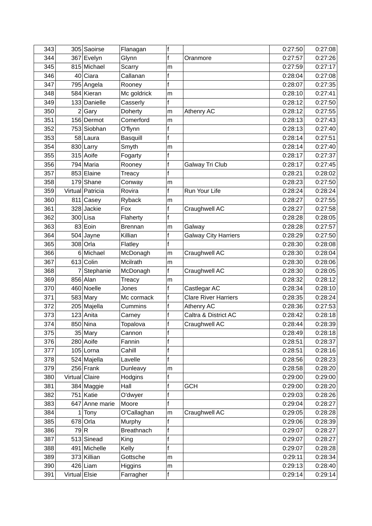| 343 |                | 305 Saoirse      | Flanagan          | f            |                             | 0:27:50 | 0:27:08 |
|-----|----------------|------------------|-------------------|--------------|-----------------------------|---------|---------|
| 344 |                | 367 Evelyn       | Glynn             | f            | Oranmore                    | 0:27:57 | 0:27:26 |
| 345 |                | 815 Michael      | Scarry            | m            |                             | 0:27:59 | 0:27:17 |
| 346 |                | 40 Ciara         | Callanan          | $\mathsf f$  |                             | 0:28:04 | 0:27:08 |
| 347 |                | 795 Angela       | Rooney            | f            |                             | 0:28:07 | 0:27:35 |
| 348 |                | 584 Kieran       | Mc goldrick       | m            |                             | 0:28:10 | 0:27:41 |
| 349 |                | 133 Danielle     | Casserly          | f            |                             | 0:28:12 | 0:27:50 |
| 350 |                | 2 Gary           | Doherty           | m            | Athenry AC                  | 0:28:12 | 0:27:55 |
| 351 |                | 156 Dermot       | Comerford         | m            |                             | 0:28:13 | 0:27:43 |
| 352 |                | 753 Siobhan      | O'flynn           | f            |                             | 0:28:13 | 0:27:40 |
| 353 |                | 58 Laura         | <b>Basquill</b>   | f            |                             | 0:28:14 | 0:27:51 |
| 354 |                | 830 Larry        | Smyth             | m            |                             | 0:28:14 | 0:27:40 |
| 355 |                | 315 Aoife        | Fogarty           | $\mathsf f$  |                             | 0:28:17 | 0:27:37 |
| 356 |                | 794 Maria        | Rooney            | $\mathsf f$  | Galway Tri Club             | 0:28:17 | 0:27:45 |
| 357 |                | 853 Elaine       | Treacy            | f            |                             | 0:28:21 | 0:28:02 |
| 358 |                | $179$ Shane      | Conway            | m            |                             | 0:28:23 | 0:27:50 |
| 359 |                | Virtual Patricia | Rovira            | f            | Run Your Life               | 0:28:24 | 0:28:24 |
| 360 |                | $811$ Casey      | Ryback            | m            |                             | 0:28:27 | 0:27:55 |
| 361 |                | 328 Jackie       | Fox               | f            | Craughwell AC               | 0:28:27 | 0:27:58 |
| 362 |                | $300$ Lisa       | Flaherty          | $\mathsf{f}$ |                             | 0:28:28 | 0:28:05 |
| 363 |                | 83 Eoin          | <b>Brennan</b>    | m            | Galway                      | 0:28:28 | 0:27:57 |
| 364 |                | $504$ Jayne      | Killian           | $\mathsf f$  | <b>Galway City Harriers</b> | 0:28:29 | 0:27:50 |
| 365 |                | $308$ Orla       | Flatley           | f            |                             | 0:28:30 | 0:28:08 |
| 366 |                | 6 Michael        | McDonagh          | m            | Craughwell AC               | 0:28:30 | 0:28:04 |
| 367 |                | 613 Colin        | Mcilrath          | m            |                             | 0:28:30 | 0:28:06 |
| 368 | 7              | Stephanie        | McDonagh          | $\mathsf f$  | Craughwell AC               | 0:28:30 | 0:28:05 |
| 369 |                | $856$ Alan       | Treacy            | m            |                             | 0:28:32 | 0:28:12 |
| 370 |                | 460 Noelle       | Jones             | f            | Castlegar AC                | 0:28:34 | 0:28:10 |
| 371 |                | $583$ Mary       | Mc cormack        | f            | <b>Clare River Harriers</b> | 0:28:35 | 0:28:24 |
| 372 |                | 205 Majella      | Cummins           | f            | Athenry AC                  | 0:28:36 | 0:27:53 |
| 373 |                | 123 Anita        | Carney            | $\mathsf f$  | Caltra & District AC        | 0:28:42 | 0:28:18 |
| 374 |                | 850 Nina         | Topalova          | f            | Craughwell AC               | 0:28:44 | 0:28:39 |
| 375 |                | 35 Mary          | Cannon            | f            |                             | 0:28:49 | 0:28:18 |
| 376 |                | 280 Aoife        | Fannin            | $\mathsf f$  |                             | 0:28:51 | 0:28:37 |
| 377 |                | $105$ Lorna      | Cahill            | $\mathsf f$  |                             | 0:28:51 | 0:28:16 |
| 378 |                | 524 Majella      | Lavelle           | $\mathsf f$  |                             | 0:28:56 | 0:28:23 |
| 379 |                | $256$ Frank      | Dunleavy          | m            |                             | 0:28:58 | 0:28:20 |
| 380 | Virtual Claire |                  | Hodgins           | f            |                             | 0:29:00 | 0:29:00 |
| 381 |                | 384 Maggie       | Hall              | $\mathsf f$  | <b>GCH</b>                  | 0:29:00 | 0:28:20 |
| 382 |                | $751$ Katie      | O'dwyer           | f            |                             | 0:29:03 | 0:28:26 |
| 383 |                | 647 Anne marie   | Moore             | $\mathsf f$  |                             | 0:29:04 | 0:28:27 |
| 384 |                | $1$ Tony         | O'Callaghan       | m            | Craughwell AC               | 0:29:05 | 0:28:28 |
| 385 |                | $678$ Orla       | Murphy            | f            |                             | 0:29:06 | 0:28:39 |
| 386 | 79 R           |                  | <b>Breathnach</b> | $\mathsf f$  |                             | 0:29:07 | 0:28:27 |
| 387 |                | 513 Sinead       | King              | $\mathsf f$  |                             | 0:29:07 | 0:28:27 |
| 388 |                | 491 Michelle     | Kelly             | $\mathsf f$  |                             | 0:29:07 | 0:28:28 |
| 389 |                | 373 Killian      | Gottsche          | ${\sf m}$    |                             | 0:29:11 | 0:28:34 |
| 390 |                | $426$  Liam      | Higgins           | m            |                             | 0:29:13 | 0:28:40 |
| 391 | Virtual Elsie  |                  | Farragher         | f            |                             | 0:29:14 | 0:29:14 |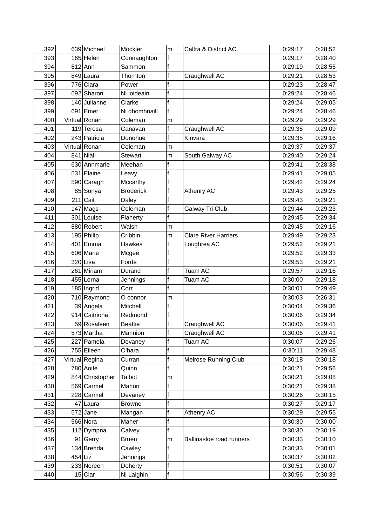| 392 |           | 639 Michael     | Mockler          | m | Caltra & District AC        | 0:29:17 | 0:28:52 |
|-----|-----------|-----------------|------------------|---|-----------------------------|---------|---------|
| 393 |           | $165$ Helen     | Connaughton      | f |                             | 0:29:17 | 0:28:40 |
| 394 |           | $812$ Ann       | Sammon           | f |                             | 0:29:19 | 0:28:55 |
| 395 |           | 849 Laura       | Thornton         | f | Craughwell AC               | 0:29:21 | 0:28:53 |
| 396 | 776       | Ciara           | Power            | f |                             | 0:29:23 | 0:28:47 |
| 397 |           | 692 Sharon      | Ni loideain      | f |                             | 0:29:24 | 0:28:46 |
| 398 |           | 140 Julianne    | Clarke           |   |                             | 0:29:24 | 0:29:05 |
| 399 |           | $691$ Emer      | Ni dhomhnaill    | f |                             | 0:29:24 | 0:28:46 |
| 400 |           | Virtual Ronan   | Coleman          | m |                             | 0:29:29 | 0:29:29 |
| 401 |           | $119$ Teresa    | Canavan          | f | Craughwell AC               | 0:29:35 | 0:29:09 |
| 402 |           | 243 Patricia    | Donohue          | f | Kinvara                     | 0:29:35 | 0:29:16 |
| 403 |           | Virtual Ronan   | Coleman          | m |                             | 0:29:37 | 0:29:37 |
| 404 |           | $841$ Niall     | <b>Stewart</b>   | m | South Galway AC             | 0:29:40 | 0:29:24 |
| 405 |           | 630 Annmarie    | Meehan           | f |                             | 0:29:41 | 0:28:38 |
| 406 |           | 531 Elaine      | Leavy            | f |                             | 0:29:41 | 0:29:05 |
| 407 |           | 590 Caragh      | Mccarthy         | f |                             | 0:29:42 | 0:29:24 |
| 408 |           | 85 Sonya        | <b>Broderick</b> | f | Athenry AC                  | 0:29:43 | 0:29:25 |
| 409 |           | $211$ Cait      | Daley            | f |                             | 0:29:43 | 0:29:21 |
| 410 |           | $147$ Mags      | Coleman          | f | Galway Tri Club             | 0:29:44 | 0:29:23 |
| 411 |           | 301 Louise      | Flaherty         | f |                             | 0:29:45 | 0:29:34 |
| 412 |           | 880 Robert      | Walsh            | m |                             | 0:29:45 | 0:29:16 |
| 413 |           | 195 Philip      | Cribbin          | m | <b>Clare River Harriers</b> | 0:29:49 | 0:29:23 |
| 414 |           | 401 Emma        | Hawkes           | f | Loughrea AC                 | 0:29:52 | 0:29:21 |
| 415 |           | 606 Marie       | Mcgee            | f |                             | 0:29:52 | 0:29:33 |
| 416 |           | $320$ Lisa      | Forde            | f |                             | 0:29:53 | 0:29:21 |
| 417 |           | 261 Miriam      | Durand           | f | Tuam AC                     | 0:29:57 | 0:29:16 |
| 418 | 455       | Lorna           | Jennings         | f | <b>Tuam AC</b>              | 0:30:00 | 0:29:18 |
| 419 |           | $185$  Ingrid   | Corr             | f |                             | 0:30:01 | 0:29:49 |
| 420 |           | 710 Raymond     | O connor         | m |                             | 0:30:03 | 0:26:31 |
| 421 |           | 39 Angela       | Mitchell         | f |                             | 0:30:04 | 0:29:36 |
| 422 |           | 914 Caitriona   | Redmond          | f |                             | 0:30:06 | 0:29:34 |
| 423 |           | 59 Rosaleen     | <b>Beattie</b>   | f | Craughwell AC               | 0:30:06 | 0:29:41 |
| 424 |           | 573 Martha      | Mannion          | f | Craughwell AC               | 0:30:06 | 0:29:41 |
| 425 |           | 227 Pamela      | Devaney          | f | Tuam AC                     | 0:30:07 | 0:29:26 |
| 426 |           | 755 Eileen      | O'hara           | f |                             | 0:30:11 | 0:29:48 |
| 427 |           | Virtual Regina  | Curran           | f | <b>Melrose Running Club</b> | 0:30:18 | 0:30:18 |
| 428 |           | 780 Aoife       | Quinn            | f |                             | 0:30:21 | 0:29:56 |
| 429 |           | 844 Christopher | Talbot           | m |                             | 0:30:21 | 0:29:08 |
| 430 |           | 569 Carmel      | Mahon            | f |                             | 0:30:21 | 0:29:38 |
| 431 |           | $228$ Carmel    | Devaney          | f |                             | 0:30:26 | 0:30:15 |
| 432 |           | 47 Laura        | <b>Browne</b>    | f |                             | 0:30:27 | 0:29:17 |
| 433 |           | $572$ Jane      | Mangan           | f | Athenry AC                  | 0:30:29 | 0:29:55 |
| 434 |           | 566 Nora        | Maher            | f |                             | 0:30:30 | 0:30:00 |
| 435 |           | $112$ Dympna    | Calvey           | f |                             | 0:30:30 | 0:30:19 |
| 436 |           | 91 Gerry        | <b>Bruen</b>     | m | Ballinasloe road runners    | 0:30:33 | 0:30:10 |
| 437 |           | 134 Brenda      | Cawley           | f |                             | 0:30:33 | 0:30:01 |
| 438 | $454$ Liz |                 | Jennings         | f |                             | 0:30:37 | 0:30:02 |
| 439 |           | 233 Noreen      | Doherty          | f |                             | 0:30:51 | 0:30:07 |
| 440 |           | $15 $ Clar      | Ni Laighin       | f |                             | 0:30:56 | 0:30:39 |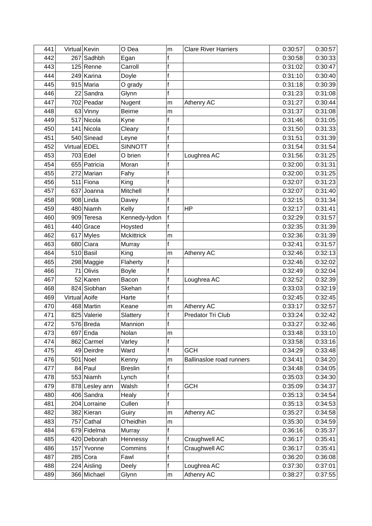| 441 | Virtual Kevin |                | O Dea             | m           | <b>Clare River Harriers</b> | 0:30:57 | 0:30:57 |
|-----|---------------|----------------|-------------------|-------------|-----------------------------|---------|---------|
| 442 | 267           | Sadhbh         | Egan              | f           |                             | 0:30:58 | 0:30:33 |
| 443 |               | $125$ Renne    | Carroll           | f           |                             | 0:31:02 | 0:30:47 |
| 444 |               | 249 Karina     | Doyle             | f           |                             | 0:31:10 | 0:30:40 |
| 445 |               | 915 Maria      | O grady           | f           |                             | 0:31:18 | 0:30:39 |
| 446 |               | 22 Sandra      | Glynn             | f           |                             | 0:31:23 | 0:31:08 |
| 447 |               | 702 Peadar     | Nugent            | m           | Athenry AC                  | 0:31:27 | 0:30:44 |
| 448 |               | 63 Vinny       | <b>Beirne</b>     | m           |                             | 0:31:37 | 0:31:08 |
| 449 |               | 517 Nicola     | Kyne              | f           |                             | 0:31:46 | 0:31:05 |
| 450 |               | 141 Nicola     | Cleary            | f           |                             | 0:31:50 | 0:31:33 |
| 451 |               | 540 Sinead     | Leyne             | f           |                             | 0:31:51 | 0:31:39 |
| 452 | Virtual EDEL  |                | <b>SINNOTT</b>    | f           |                             | 0:31:54 | 0:31:54 |
| 453 |               | 703 Edel       | O brien           | f           | Loughrea AC                 | 0:31:56 | 0:31:25 |
| 454 |               | 655 Patricia   | Moran             | f           |                             | 0:32:00 | 0:31:31 |
| 455 |               | 272 Marian     | Fahy              | f           |                             | 0:32:00 | 0:31:25 |
| 456 |               | $511$ Fiona    | King              | f           |                             | 0:32:07 | 0:31:23 |
| 457 |               | 637 Joanna     | Mitchell          | f           |                             | 0:32:07 | 0:31:40 |
| 458 |               | 908 Linda      | Davey             | f           |                             | 0:32:15 | 0:31:34 |
| 459 |               | 480 Niamh      | Kelly             | f           | <b>HP</b>                   | 0:32:17 | 0:31:41 |
| 460 |               | 909 Teresa     | Kennedy-lydon     | $\mathsf f$ |                             | 0:32:29 | 0:31:57 |
| 461 |               | 440 Grace      | Hoysted           | f           |                             | 0:32:35 | 0:31:39 |
| 462 | 617           | Myles          | <b>Mckittrick</b> | m           |                             | 0:32:36 | 0:31:39 |
| 463 |               | 680 Ciara      | Murray            | f           |                             | 0:32:41 | 0:31:57 |
| 464 |               | $510$ Basil    | King              | m           | Athenry AC                  | 0:32:46 | 0:32:13 |
| 465 |               | 298 Maggie     | Flaherty          | f           |                             | 0:32:46 | 0:32:02 |
| 466 | 71            | Olivis         | <b>Boyle</b>      | f           |                             | 0:32:49 | 0:32:04 |
| 467 |               | 52 Karen       | Bacon             | f           | Loughrea AC                 | 0:32:52 | 0:32:39 |
| 468 |               | 824 Siobhan    | Skehan            | f           |                             | 0:33:03 | 0:32:19 |
| 469 | Virtual Aoife |                | Harte             | f           |                             | 0:32:45 | 0:32:45 |
| 470 |               | 468 Martin     | Keane             | m           | Athenry AC                  | 0:33:17 | 0:32:57 |
| 471 |               | 825 Valerie    | Slattery          | f           | Predator Tri Club           | 0:33:24 | 0:32:42 |
| 472 |               | 576 Breda      | Mannion           | f           |                             | 0:33:27 | 0:32:46 |
| 473 |               | $697$ Enda     | Nolan             | m           |                             | 0:33:48 | 0:33:10 |
| 474 |               | 862 Carmel     | Varley            | f           |                             | 0:33:58 | 0:33:16 |
| 475 |               | 49 Deirdre     | Ward              | f           | <b>GCH</b>                  | 0:34:29 | 0:33:48 |
| 476 |               | $501$ Noel     | Kenny             | m           | Ballinasloe road runners    | 0:34:41 | 0:34:20 |
| 477 |               | 84 Paul        | <b>Breslin</b>    | f           |                             | 0:34:48 | 0:34:05 |
| 478 |               | 553 Niamh      | Lynch             | f           |                             | 0:35:03 | 0:34:30 |
| 479 |               | 878 Lesley ann | Walsh             | f           | <b>GCH</b>                  | 0:35:09 | 0:34:37 |
| 480 |               | 406 Sandra     | Healy             | f           |                             | 0:35:13 | 0:34:54 |
| 481 |               | 204 Lorraine   | Cullen            | f           |                             | 0:35:13 | 0:34:53 |
| 482 |               | 382 Kieran     | Guiry             | m           | Athenry AC                  | 0:35:27 | 0:34:58 |
| 483 |               | $757$ Cathal   | O'heidhin         | m           |                             | 0:35:30 | 0:34:59 |
| 484 |               | 679 Fidelma    | Murray            | f           |                             | 0:36:16 | 0:35:37 |
| 485 |               | 420 Deborah    | Hennessy          | f           | Craughwell AC               | 0:36:17 | 0:35:41 |
| 486 | 157           | Yvonne         | Commins           | f           | Craughwell AC               | 0:36:17 | 0:35:41 |
| 487 |               | $285$ Cora     | Fawl              | f           |                             | 0:36:20 | 0:36:08 |
| 488 |               | 224 Aisling    | Deely             | f           | Loughrea AC                 | 0:37:30 | 0:37:01 |
| 489 |               | 366 Michael    | Glynn             | m           | Athenry AC                  | 0:38:27 | 0:37:55 |